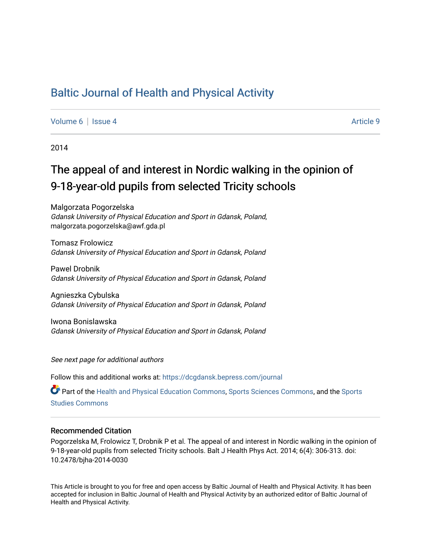## [Baltic Journal of Health and Physical Activity](https://dcgdansk.bepress.com/journal)

[Volume 6](https://dcgdansk.bepress.com/journal/vol6) | [Issue 4](https://dcgdansk.bepress.com/journal/vol6/iss4) Article 9

2014

# The appeal of and interest in Nordic walking in the opinion of 9-18-year-old pupils from selected Tricity schools

Malgorzata Pogorzelska Gdansk University of Physical Education and Sport in Gdansk, Poland, malgorzata.pogorzelska@awf.gda.pl

Tomasz Frolowicz Gdansk University of Physical Education and Sport in Gdansk, Poland

Pawel Drobnik Gdansk University of Physical Education and Sport in Gdansk, Poland

Agnieszka Cybulska Gdansk University of Physical Education and Sport in Gdansk, Poland

Iwona Bonislawska Gdansk University of Physical Education and Sport in Gdansk, Poland

See next page for additional authors

Follow this and additional works at: [https://dcgdansk.bepress.com/journal](https://dcgdansk.bepress.com/journal?utm_source=dcgdansk.bepress.com%2Fjournal%2Fvol6%2Fiss4%2F9&utm_medium=PDF&utm_campaign=PDFCoverPages)

Part of the [Health and Physical Education Commons](http://network.bepress.com/hgg/discipline/1327?utm_source=dcgdansk.bepress.com%2Fjournal%2Fvol6%2Fiss4%2F9&utm_medium=PDF&utm_campaign=PDFCoverPages), [Sports Sciences Commons](http://network.bepress.com/hgg/discipline/759?utm_source=dcgdansk.bepress.com%2Fjournal%2Fvol6%2Fiss4%2F9&utm_medium=PDF&utm_campaign=PDFCoverPages), and the Sports [Studies Commons](http://network.bepress.com/hgg/discipline/1198?utm_source=dcgdansk.bepress.com%2Fjournal%2Fvol6%2Fiss4%2F9&utm_medium=PDF&utm_campaign=PDFCoverPages) 

#### Recommended Citation

Pogorzelska M, Frolowicz T, Drobnik P et al. The appeal of and interest in Nordic walking in the opinion of 9-18-year-old pupils from selected Tricity schools. Balt J Health Phys Act. 2014; 6(4): 306-313. doi: 10.2478/bjha-2014-0030

This Article is brought to you for free and open access by Baltic Journal of Health and Physical Activity. It has been accepted for inclusion in Baltic Journal of Health and Physical Activity by an authorized editor of Baltic Journal of Health and Physical Activity.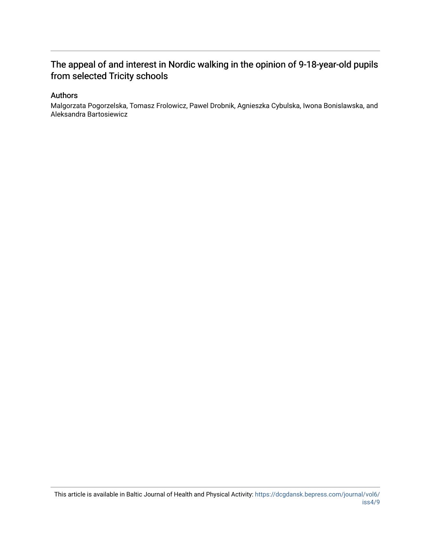### The appeal of and interest in Nordic walking in the opinion of 9-18-year-old pupils from selected Tricity schools

#### Authors

Malgorzata Pogorzelska, Tomasz Frolowicz, Pawel Drobnik, Agnieszka Cybulska, Iwona Bonislawska, and Aleksandra Bartosiewicz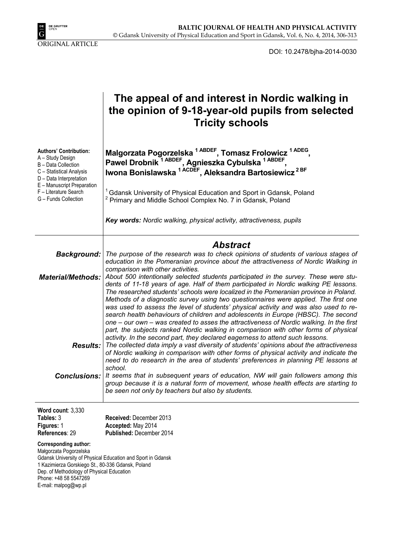

DOI: 10.2478/bjha-2014-0030

|                                                                                                                                                                                                                | The appeal of and interest in Nordic walking in<br>the opinion of 9-18-year-old pupils from selected<br><b>Tricity schools</b>                                                                                                                                                                                                                                                                                                                                                                                                                                                                                                                                                                                                                                                                                                                                                                                                                                                                                                                                                                                   |  |  |
|----------------------------------------------------------------------------------------------------------------------------------------------------------------------------------------------------------------|------------------------------------------------------------------------------------------------------------------------------------------------------------------------------------------------------------------------------------------------------------------------------------------------------------------------------------------------------------------------------------------------------------------------------------------------------------------------------------------------------------------------------------------------------------------------------------------------------------------------------------------------------------------------------------------------------------------------------------------------------------------------------------------------------------------------------------------------------------------------------------------------------------------------------------------------------------------------------------------------------------------------------------------------------------------------------------------------------------------|--|--|
| <b>Authors' Contribution:</b><br>A - Study Design<br>B - Data Collection<br>C - Statistical Analysis<br>D - Data Interpretation<br>E - Manuscript Preparation<br>F - Literature Search<br>G - Funds Collection | Malgorzata Pogorzelska <sup>1 ABDEF</sup> , Tomasz Frolowicz <sup>1 ADEG</sup> ,<br>Pawel Drobnik <sup>1 ABDEF</sup> , Agnieszka Cybulska <sup>1 ABDEF</sup> ,<br>Iwona Bonislawska <sup>1 ACDEF</sup> , Aleksandra Bartosiewicz <sup>2BF</sup><br><sup>1</sup> Gdansk University of Physical Education and Sport in Gdansk, Poland<br>Primary and Middle School Complex No. 7 in Gdansk, Poland<br>Key words: Nordic walking, physical activity, attractiveness, pupils                                                                                                                                                                                                                                                                                                                                                                                                                                                                                                                                                                                                                                         |  |  |
|                                                                                                                                                                                                                |                                                                                                                                                                                                                                                                                                                                                                                                                                                                                                                                                                                                                                                                                                                                                                                                                                                                                                                                                                                                                                                                                                                  |  |  |
| Background:<br><b>Material/Methods:</b>                                                                                                                                                                        | <b>Abstract</b><br>The purpose of the research was to check opinions of students of various stages of<br>education in the Pomeranian province about the attractiveness of Nordic Walking in<br>comparison with other activities.<br>About 500 intentionally selected students participated in the survey. These were stu-                                                                                                                                                                                                                                                                                                                                                                                                                                                                                                                                                                                                                                                                                                                                                                                        |  |  |
|                                                                                                                                                                                                                | dents of 11-18 years of age. Half of them participated in Nordic walking PE lessons.<br>The researched students' schools were localized in the Pomeranian province in Poland.<br>Methods of a diagnostic survey using two questionnaires were applied. The first one<br>was used to assess the level of students' physical activity and was also used to re-<br>search health behaviours of children and adolescents in Europe (HBSC). The second<br>one – our own – was created to asses the attractiveness of Nordic walking. In the first<br>part, the subjects ranked Nordic walking in comparison with other forms of physical<br>activity. In the second part, they declared eagerness to attend such lessons.<br><b>Results:</b> The collected data imply a vast diversity of students' opinions about the attractiveness<br>of Nordic walking in comparison with other forms of physical activity and indicate the<br>need to do research in the area of students' preferences in planning PE lessons at<br>school.<br>It seems that in subsequent years of education, NW will gain followers among this |  |  |
| <b>Conclusions:</b>                                                                                                                                                                                            | group because it is a natural form of movement, whose health effects are starting to<br>be seen not only by teachers but also by students.                                                                                                                                                                                                                                                                                                                                                                                                                                                                                                                                                                                                                                                                                                                                                                                                                                                                                                                                                                       |  |  |
| Word count: 3,330<br>Tables: 3<br>Figures: 1<br>References: 29                                                                                                                                                 | Received: December 2013<br>Accepted: May 2014<br>Published: December 2014                                                                                                                                                                                                                                                                                                                                                                                                                                                                                                                                                                                                                                                                                                                                                                                                                                                                                                                                                                                                                                        |  |  |
| <b>Corresponding author:</b><br>Małgorzata Pogorzelska<br>1 Kazimierza Gorskiego St., 80-336 Gdansk, Poland<br>Dep. of Methodology of Physical Education<br>Phone: +48 58 5547269<br>E-mail: malpog@wp.pl      | Gdansk University of Physical Education and Sport in Gdansk                                                                                                                                                                                                                                                                                                                                                                                                                                                                                                                                                                                                                                                                                                                                                                                                                                                                                                                                                                                                                                                      |  |  |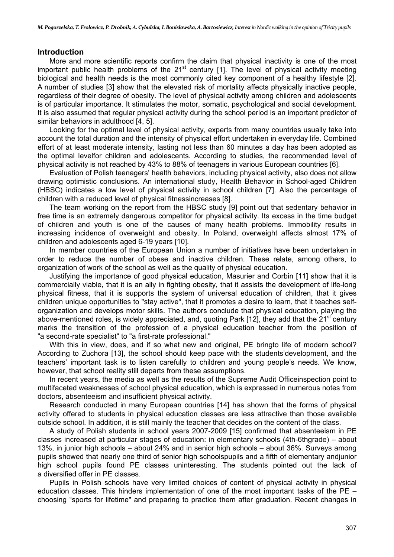#### **Introduction**

More and more scientific reports confirm the claim that physical inactivity is one of the most important public health problems of the  $21<sup>st</sup>$  century [1]. The level of physical activity meeting biological and health needs is the most commonly cited key component of a healthy lifestyle [2]. A number of studies [3] show that the elevated risk of mortality affects physically inactive people, regardless of their degree of obesity. The level of physical activity among children and adolescents is of particular importance. It stimulates the motor, somatic, psychological and social development. It is also assumed that regular physical activity during the school period is an important predictor of similar behaviors in adulthood [4, 5].

Looking for the optimal level of physical activity, experts from many countries usually take into account the total duration and the intensity of physical effort undertaken in everyday life. Combined effort of at least moderate intensity, lasting not less than 60 minutes a day has been adopted as the optimal levelfor children and adolescents. According to studies, the recommended level of physical activity is not reached by 43% to 88% of teenagers in various European countries [6].

Evaluation of Polish teenagers' health behaviors, including physical activity, also does not allow drawing optimistic conclusions. An international study, Health Behavior in School-aged Children (HBSC) indicates a low level of physical activity in school children [7]. Also the percentage of children with a reduced level of physical fitnessincreases [8].

The team working on the report from the HBSC study [9] point out that sedentary behavior in free time is an extremely dangerous competitor for physical activity. Its excess in the time budget of children and youth is one of the causes of many health problems. Immobility results in increasing incidence of overweight and obesity. In Poland, overweight affects almost 17% of children and adolescents aged 6-19 years [10].

In member countries of the European Union a number of initiatives have been undertaken in order to reduce the number of obese and inactive children. These relate, among others, to organization of work of the school as well as the quality of physical education.

Justifying the importance of good physical education, Masurier and Corbin [11] show that it is commercially viable, that it is an ally in fighting obesity, that it assists the development of life-long physical fitness, that it is supports the system of universal education of children, that it gives children unique opportunities to "stay active", that it promotes a desire to learn, that it teaches selforganization and develops motor skills. The authors conclude that physical education, playing the above-mentioned roles, is widely appreciated, and, quoting Park [12], they add that the  $21<sup>st</sup>$  century marks the transition of the profession of a physical education teacher from the position of "a second-rate specialist" to "a first-rate professional."

With this in view, does, and if so what new and original, PE bringto life of modern school? According to Zuchora [13], the school should keep pace with the students'development, and the teachers' important task is to listen carefully to children and young people's needs. We know, however, that school reality still departs from these assumptions.

In recent years, the media as well as the results of the Supreme Audit Officeinspection point to multifaceted weaknesses of school physical education, which is expressed in numerous notes from doctors, absenteeism and insufficient physical activity.

Research conducted in many European countries [14] has shown that the forms of physical activity offered to students in physical education classes are less attractive than those available outside school. In addition, it is still mainly the teacher that decides on the content of the class.

A study of Polish students in school years 2007-2009 [15] confirmed that absenteeism in PE classes increased at particular stages of education: in elementary schools (4th-6thgrade) – about 13%, in junior high schools – about 24% and in senior high schools – about 36%. Surveys among pupils showed that nearly one third of senior high schoolspupils and a fifth of elementary andjunior high school pupils found PE classes uninteresting. The students pointed out the lack of a diversified offer in PE classes.

Pupils in Polish schools have very limited choices of content of physical activity in physical education classes. This hinders implementation of one of the most important tasks of the PE – choosing "sports for lifetime" and preparing to practice them after graduation. Recent changes in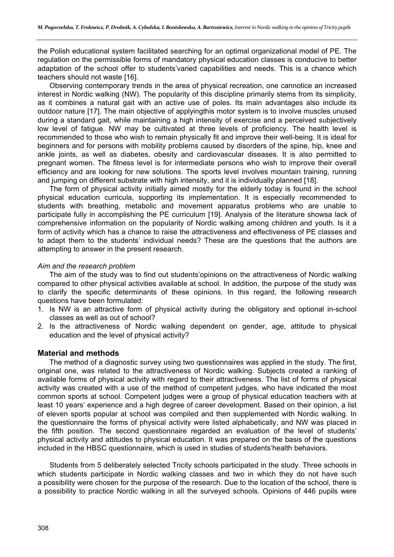the Polish educational system facilitated searching for an optimal organizational model of PE. The regulation on the permissible forms of mandatory physical education classes is conducive to better adaptation of the school offer to students'varied capabilities and needs. This is a chance which teachers should not waste [16].

Observing contemporary trends in the area of physical recreation, one cannotice an increased interest in Nordic walking (NW). The popularity of this discipline primarily stems from its simplicity, as it combines a natural gait with an active use of poles. Its main advantages also include its outdoor nature [17]. The main objective of applyingthis motor system is to involve muscles unused during a standard gait, while maintaining a high intensity of exercise and a perceived subjectively low level of fatigue. NW may be cultivated at three levels of proficiency. The health level is recommended to those who wish to remain physically fit and improve their well-being. It is ideal for beginners and for persons with mobility problems caused by disorders of the spine, hip, knee and ankle joints, as well as diabetes, obesity and cardiovascular diseases. It is also permitted to pregnant women. The fitness level is for intermediate persons who wish to improve their overall efficiency and are looking for new solutions. The sports level involves mountain training, running and jumping on different substrate with high intensity, and it is individually planned [18].

The form of physical activity initially aimed mostly for the elderly today is found in the school physical education curricula, supporting its implementation. It is especially recommended to students with breathing, metabolic and movement apparatus problems who are unable to participate fully in accomplishing the PE curriculum [19]. Analysis of the literature showsa lack of comprehensive information on the popularity of Nordic walking among children and youth. Is it a form of activity which has a chance to raise the attractiveness and effectiveness of PE classes and to adapt them to the students' individual needs? These are the questions that the authors are attempting to answer in the present research.

#### *Aim and the research problem*

The aim of the study was to find out students'opinions on the attractiveness of Nordic walking compared to other physical activities available at school. In addition, the purpose of the study was to clarify the specific determinants of these opinions. In this regard, the following research questions have been formulated:

- 1. Is NW is an attractive form of physical activity during the obligatory and optional in-school classes as well as out of school?
- 2. Is the attractiveness of Nordic walking dependent on gender, age, attitude to physical education and the level of physical activity?

#### **Material and methods**

The method of a diagnostic survey using two questionnaires was applied in the study. The first, original one, was related to the attractiveness of Nordic walking. Subjects created a ranking of available forms of physical activity with regard to their attractiveness. The list of forms of physical activity was created with a use of the method of competent judges, who have indicated the most common sports at school. Competent judges were a group of physical education teachers with at least 10 years' experience and a high degree of career development. Based on their opinion, a list of eleven sports popular at school was compiled and then supplemented with Nordic walking. In the questionnaire the forms of physical activity were listed alphabetically, and NW was placed in the fifth position. The second questionnaire regarded an evaluation of the level of students' physical activity and attitudes to physical education. It was prepared on the basis of the questions included in the HBSC questionnaire, which is used in studies of students'health behaviors.

Students from 5 deliberately selected Tricity schools participated in the study. Three schools in which students participate in Nordic walking classes and two in which they do not have such a possibility were chosen for the purpose of the research. Due to the location of the school, there is a possibility to practice Nordic walking in all the surveyed schools. Opinions of 446 pupils were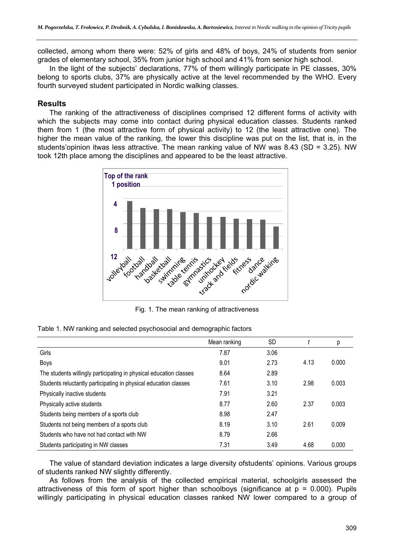collected, among whom there were: 52% of girls and 48% of boys, 24% of students from senior grades of elementary school, 35% from junior high school and 41% from senior high school.

In the light of the subjects' declarations, 77% of them willingly participate in PE classes, 30% belong to sports clubs, 37% are physically active at the level recommended by the WHO. Every fourth surveyed student participated in Nordic walking classes.

#### **Results**

The ranking of the attractiveness of disciplines comprised 12 different forms of activity with which the subjects may come into contact during physical education classes. Students ranked them from 1 (the most attractive form of physical activity) to 12 (the least attractive one). The higher the mean value of the ranking, the lower this discipline was put on the list, that is, in the students'opinion itwas less attractive. The mean ranking value of NW was 8.43 (SD = 3.25). NW took 12th place among the disciplines and appeared to be the least attractive.



Fig. 1. The mean ranking of attractiveness

| Table 1. NW ranking and selected psychosocial and demographic factors |  |  |
|-----------------------------------------------------------------------|--|--|
|-----------------------------------------------------------------------|--|--|

|                                                                    | Mean ranking | <b>SD</b> |      | р     |
|--------------------------------------------------------------------|--------------|-----------|------|-------|
| Girls                                                              | 7.87         | 3.06      |      |       |
| <b>Boys</b>                                                        | 9.01         | 2.73      | 4.13 | 0.000 |
| The students willingly participating in physical education classes | 8.64         | 2.89      |      |       |
| Students reluctantly participating in physical education classes   | 7.61         | 3.10      | 2.98 | 0.003 |
| Physically inactive students                                       | 7.91         | 3.21      |      |       |
| Physically active students                                         | 8.77         | 2.60      | 2.37 | 0.003 |
| Students being members of a sports club                            | 8.98         | 2.47      |      |       |
| Students not being members of a sports club                        | 8.19         | 3.10      | 2.61 | 0.009 |
| Students who have not had contact with NW                          | 8.79         | 2.66      |      |       |
| Students participating in NW classes                               | 7.31         | 3.49      | 4.68 | 0.000 |

The value of standard deviation indicates a large diversity ofstudents' opinions. Various groups of students ranked NW slightly differently.

As follows from the analysis of the collected empirical material, schoolgirls assessed the attractiveness of this form of sport higher than schoolboys (significance at  $p = 0.000$ ). Pupils willingly participating in physical education classes ranked NW lower compared to a group of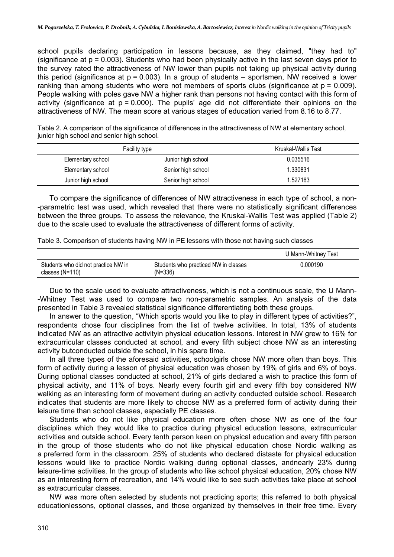school pupils declaring participation in lessons because, as they claimed, "they had to" (significance at  $p = 0.003$ ). Students who had been physically active in the last seven days prior to the survey rated the attractiveness of NW lower than pupils not taking up physical activity during this period (significance at  $p = 0.003$ ). In a group of students – sportsmen, NW received a lower ranking than among students who were not members of sports clubs (significance at  $p = 0.009$ ). People walking with poles gave NW a higher rank than persons not having contact with this form of activity (significance at  $p = 0.000$ ). The pupils' age did not differentiate their opinions on the attractiveness of NW. The mean score at various stages of education varied from 8.16 to 8.77.

Table 2. A comparison of the significance of differences in the attractiveness of NW at elementary school, junior high school and senior high school.

|                    | Facility type      | Kruskal-Wallis Test |
|--------------------|--------------------|---------------------|
| Elementary school  | Junior high school | 0.035516            |
| Elementary school  | Senior high school | 1.330831            |
| Junior high school | Senior high school | 1.527163            |

To compare the significance of differences of NW attractiveness in each type of school, a non- -parametric test was used, which revealed that there were no statistically significant differences between the three groups. To assess the relevance, the Kruskal-Wallis Test was applied (Table 2) due to the scale used to evaluate the attractiveness of different forms of activity.

Table 3. Comparison of students having NW in PE lessons with those not having such classes

|                                                          |                                                   | U Mann-Whitney Test |
|----------------------------------------------------------|---------------------------------------------------|---------------------|
| Students who did not practice NW in<br>classes $(N=110)$ | Students who practiced NW in classes<br>$(N=336)$ | 0.000190            |

Due to the scale used to evaluate attractiveness, which is not a continuous scale, the U Mann- -Whitney Test was used to compare two non-parametric samples. An analysis of the data presented in Table 3 revealed statistical significance differentiating both these groups.

In answer to the question, "Which sports would you like to play in different types of activities?", respondents chose four disciplines from the list of twelve activities. In total, 13% of students indicated NW as an attractive activityin physical education lessons. Interest in NW grew to 16% for extracurricular classes conducted at school, and every fifth subject chose NW as an interesting activity butconducted outside the school, in his spare time.

In all three types of the aforesaid activities, schoolgirls chose NW more often than boys. This form of activity during a lesson of physical education was chosen by 19% of girls and 6% of boys. During optional classes conducted at school, 21% of girls declared a wish to practice this form of physical activity, and 11% of boys. Nearly every fourth girl and every fifth boy considered NW walking as an interesting form of movement during an activity conducted outside school. Research indicates that students are more likely to choose NW as a preferred form of activity during their leisure time than school classes, especially PE classes.

Students who do not like physical education more often chose NW as one of the four disciplines which they would like to practice during physical education lessons, extracurricular activities and outside school. Every tenth person keen on physical education and every fifth person in the group of those students who do not like physical education chose Nordic walking as a preferred form in the classroom. 25% of students who declared distaste for physical education lessons would like to practice Nordic walking during optional classes, andnearly 23% during leisure-time activities. In the group of students who like school physical education, 20% chose NW as an interesting form of recreation, and 14% would like to see such activities take place at school as extracurricular classes.

NW was more often selected by students not practicing sports; this referred to both physical educationlessons, optional classes, and those organized by themselves in their free time. Every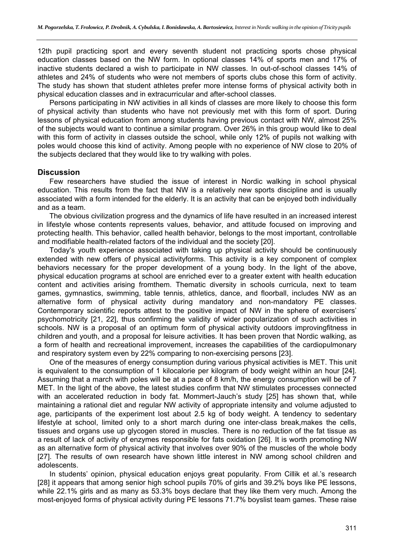12th pupil practicing sport and every seventh student not practicing sports chose physical education classes based on the NW form. In optional classes 14% of sports men and 17% of inactive students declared a wish to participate in NW classes. In out-of-school classes 14% of athletes and 24% of students who were not members of sports clubs chose this form of activity. The study has shown that student athletes prefer more intense forms of physical activity both in physical education classes and in extracurricular and after-school classes.

Persons participating in NW activities in all kinds of classes are more likely to choose this form of physical activity than students who have not previously met with this form of sport. During lessons of physical education from among students having previous contact with NW, almost 25% of the subjects would want to continue a similar program. Over 26% in this group would like to deal with this form of activity in classes outside the school, while only 12% of pupils not walking with poles would choose this kind of activity. Among people with no experience of NW close to 20% of the subjects declared that they would like to try walking with poles.

#### **Discussion**

Few researchers have studied the issue of interest in Nordic walking in school physical education. This results from the fact that NW is a relatively new sports discipline and is usually associated with a form intended for the elderly. It is an activity that can be enjoyed both individually and as a team.

The obvious civilization progress and the dynamics of life have resulted in an increased interest in lifestyle whose contents represents values, behavior, and attitude focused on improving and protecting health. This behavior, called health behavior, belongs to the most important, controllable and modifiable health-related factors of the individual and the society [20].

Today's youth experience associated with taking up physical activity should be continuously extended with new offers of physical activityforms. This activity is a key component of complex behaviors necessary for the proper development of a young body. In the light of the above, physical education programs at school are enriched ever to a greater extent with health education content and activities arising fromthem. Thematic diversity in schools curricula, next to team games, gymnastics, swimming, table tennis, athletics, dance, and floorball, includes NW as an alternative form of physical activity during mandatory and non-mandatory PE classes. Contemporary scientific reports attest to the positive impact of NW in the sphere of exercisers' psychomotricity [21, 22], thus confirming the validity of wider popularization of such activities in schools. NW is a proposal of an optimum form of physical activity outdoors improvingfitness in children and youth, and a proposal for leisure activities. It has been proven that Nordic walking, as a form of health and recreational improvement, increases the capabilities of the cardiopulmonary and respiratory system even by 22% comparing to non-exercising persons [23].

One of the measures of energy consumption during various physical activities is MET. This unit is equivalent to the consumption of 1 kilocalorie per kilogram of body weight within an hour [24]. Assuming that a march with poles will be at a pace of 8 km/h, the energy consumption will be of 7 MET. In the light of the above, the latest studies confirm that NW stimulates processes connected with an accelerated reduction in body fat. Mommert-Jauch's study [25] has shown that, while maintaining a rational diet and regular NW activity of appropriate intensity and volume adjusted to age, participants of the experiment lost about 2.5 kg of body weight. A tendency to sedentary lifestyle at school, limited only to a short march during one inter-class break,makes the cells, tissues and organs use up glycogen stored in muscles. There is no reduction of the fat tissue as a result of lack of activity of enzymes responsible for fats oxidation [26]. It is worth promoting NW as an alternative form of physical activity that involves over 90% of the muscles of the whole body [27]. The results of own research have shown little interest in NW among school children and adolescents.

In students' opinion, physical education enjoys great popularity. From Cillik et al.'s research [28] it appears that among senior high school pupils 70% of girls and 39.2% boys like PE lessons, while 22.1% girls and as many as 53.3% boys declare that they like them very much. Among the most-enjoyed forms of physical activity during PE lessons 71.7% boyslist team games. These raise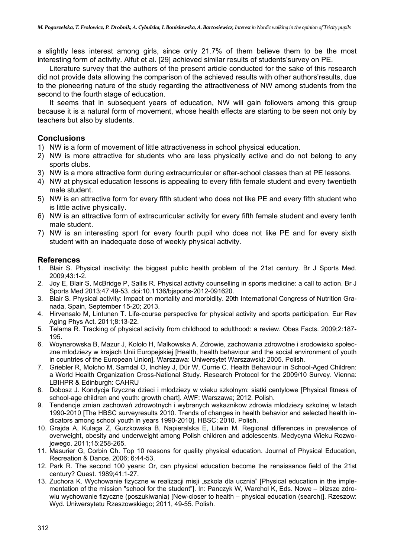a slightly less interest among girls, since only 21.7% of them believe them to be the most interesting form of activity. Alfut et al. [29] achieved similar results of students'survey on PE.

Literature survey that the authors of the present article conducted for the sake of this research did not provide data allowing the comparison of the achieved results with other authors'results, due to the pioneering nature of the study regarding the attractiveness of NW among students from the second to the fourth stage of education.

It seems that in subsequent years of education, NW will gain followers among this group because it is a natural form of movement, whose health effects are starting to be seen not only by teachers but also by students.

#### **Conclusions**

- 1) NW is a form of movement of little attractiveness in school physical education.
- 2) NW is more attractive for students who are less physically active and do not belong to any sports clubs.
- 3) NW is a more attractive form during extracurricular or after-school classes than at PE lessons.
- 4) NW at physical education lessons is appealing to every fifth female student and every twentieth male student.
- 5) NW is an attractive form for every fifth student who does not like PE and every fifth student who is little active physically.
- 6) NW is an attractive form of extracurricular activity for every fifth female student and every tenth male student.
- 7) NW is an interesting sport for every fourth pupil who does not like PE and for every sixth student with an inadequate dose of weekly physical activity.

#### **References**

- 1. Blair S. Physical inactivity: the biggest public health problem of the 21st century. Br J Sports Med. 2009;43:1-2.
- 2. Joy E, Blair S, McBridge P, Sallis R. Physical activity counselling in sports medicine: a call to action. Br J Sports Med 2013;47:49-53. doi:10.1136/bjsports-2012-091620.
- 3. Blair S. Physical activity: Impact on mortality and morbidity. 20th International Congress of Nutrition Granada, Spain, September 15-20; 2013.
- 4. Hirvensalo M, Lintunen T. Life-course perspective for physical activity and sports participation. Eur Rev Aging Phys Act. 2011;8:13-22.
- 5. Telama R. Tracking of physical activity from childhood to adulthood: a review. Obes Facts. 2009;2:187- 195.
- 6. Woynarowska B, Mazur J, Kololo H, Malkowska A. Zdrowie, zachowania zdrowotne i srodowisko społeczne mlodziezy w krajach Unii Europejskiej [Health, health behaviour and the social environment of youth in countries of the European Union]. Warszawa: Uniwersytet Warszawski; 2005. Polish.
- 7. Griebler R, Molcho M, Samdal O, Inchley J, Dür W, Currie C. Health Behaviour in School-Aged Children: a World Health Organization Cross-National Study. Research Protocol for the 2009/10 Survey. Vienna: LBIHPR & Edinburgh: CAHRU
- 8. Dobosz J. Kondycja fizyczna dzieci i mlodziezy w wieku szkolnym: siatki centylowe [Physical fitness of school-age children and youth: growth chart]. AWF: Warszawa; 2012. Polish.
- 9. Tendencje zmian zachowań zdrowotnych i wybranych wskaznikow zdrowia mlodziezy szkolnej w latach 1990-2010 [The HBSC surveyresults 2010. Trends of changes in health behavior and selected health indicators among school youth in years 1990-2010]. HBSC; 2010. Polish.
- 10. Grajda A, Kulaga Z, Gurzkowska B, Napieralska E, Litwin M. Regional differences in prevalence of overweight, obesity and underweight among Polish children and adolescents. Medycyna Wieku Rozwojowego. 2011;15:258-265.
- 11. Masurier G, Corbin Ch. Top 10 reasons for quality physical education. Journal of Physical Education, Recreation & Dance. 2006; 6:44-53.
- 12. Park R. The second 100 years: Or, can physical education become the renaissance field of the 21st century? Quest. 1989;41:1-27.
- 13. Zuchora K. Wychowanie fizyczne w realizacji misji "szkola dla ucznia" [Physical education in the implementation of the mission "school for the student"]. In: Panczyk W, Warchol K, Eds. Nowe – blizsze zdrowiu wychowanie fizyczne (poszukiwania) [New-closer to health – physical education (search)]. Rzeszow: Wyd. Uniwersytetu Rzeszowskiego; 2011, 49-55. Polish.